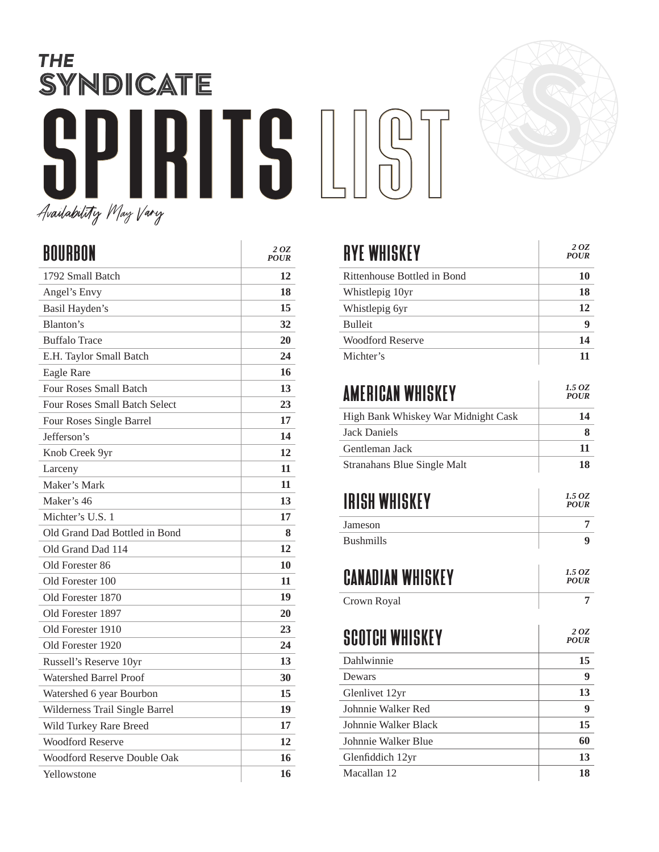## **THE** SYNDICATE SPIRITS LIST Availability May Vary



| BOURBON                        | 2 OZ<br><b>POUR</b> |
|--------------------------------|---------------------|
| 1792 Small Batch               | 12                  |
| Angel's Envy                   | 18                  |
| Basil Hayden's                 | 15                  |
| Blanton's                      | 32                  |
| <b>Buffalo Trace</b>           | 20                  |
| E.H. Taylor Small Batch        | 24                  |
| <b>Eagle Rare</b>              | 16                  |
| <b>Four Roses Small Batch</b>  | 13                  |
| Four Roses Small Batch Select  | 23                  |
| Four Roses Single Barrel       | 17                  |
| Jefferson's                    | 14                  |
| Knob Creek 9yr                 | 12                  |
| Larceny                        | 11                  |
| Maker's Mark                   | 11                  |
| Maker's 46                     | 13                  |
| Michter's U.S. 1               | 17                  |
| Old Grand Dad Bottled in Bond  | 8                   |
| Old Grand Dad 114              | 12                  |
| Old Forester 86                | 10                  |
| Old Forester 100               | 11                  |
| Old Forester 1870              | 19                  |
| Old Forester 1897              | 20                  |
| Old Forester 1910              | 23                  |
| Old Forester 1920              | 24                  |
| Russell's Reserve 10yr         | 13                  |
| <b>Watershed Barrel Proof</b>  | 30                  |
| Watershed 6 year Bourbon       | 15                  |
| Wilderness Trail Single Barrel | 19                  |
| Wild Turkey Rare Breed         | 17                  |
| <b>Woodford Reserve</b>        | 12                  |
| Woodford Reserve Double Oak    | 16                  |
| Yellowstone                    | 16                  |

| <b>RYE WHISKEY</b>                  | 2 OZ<br><b>POUR</b>   |
|-------------------------------------|-----------------------|
| Rittenhouse Bottled in Bond         | 10                    |
| Whistlepig 10yr                     | 18                    |
| Whistlepig 6yr                      | 12                    |
| <b>Bulleit</b>                      | 9                     |
| <b>Woodford Reserve</b>             | 14                    |
| Michter's                           | 11                    |
| AMERICAN WHISKEY                    | 1.5 OZ<br><b>POUR</b> |
| High Bank Whiskey War Midnight Cask | 14                    |
| Jack Daniels                        | 8                     |
| Gentleman Jack                      | 11                    |
| <b>Stranahans Blue Single Malt</b>  | 18                    |
| IRISH WHISKEY                       | 1.5 OZ<br><b>POUR</b> |
| Jameson                             | 7                     |
| <b>Bushmills</b>                    | 9                     |
| CANADIAN WHISKEY                    | 1.5 OZ<br><b>POUR</b> |
| Crown Royal                         | 7                     |
| <b>SCOTCH WHISKEY</b>               | 20Z<br><b>POUR</b>    |
| Dahlwinnie                          | 15                    |
| Dewars                              | 9                     |
| Glenlivet 12yr                      | 13                    |
| Johnnie Walker Red                  | 9                     |
| Johnnie Walker Black                | 15                    |
| Johnnie Walker Blue                 | 60                    |
| Glenfiddich 12yr                    | 13                    |
| Macallan 12                         | 18                    |